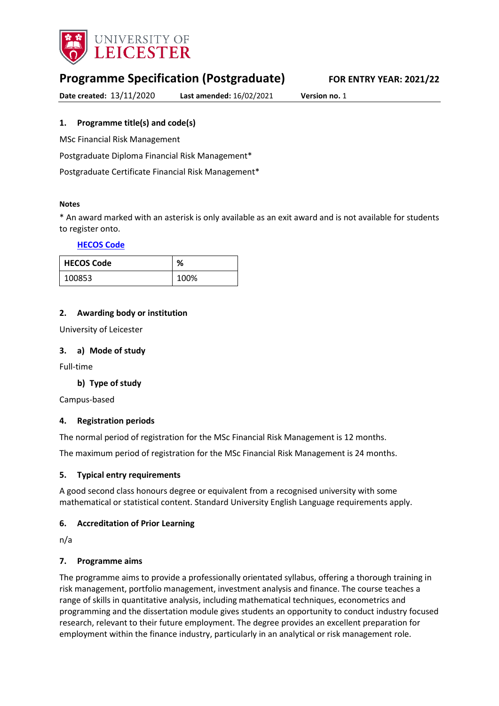

# **Programme Specification (Postgraduate) FOR ENTRY YEAR: 2021/22**

**Date created:** 13/11/2020 **Last amended:** 16/02/2021 **Version no.** 1

<span id="page-0-0"></span>**1. Programme title(s) and code(s)**

MSc Financial Risk Management

Postgraduate Diploma Financial Risk Management\*

Postgraduate Certificate Financial Risk Management\*

### **Notes**

\* An award marked with an asterisk is only available as an exit award and is not available for students to register onto.

#### **[HECOS Code](https://www.hesa.ac.uk/innovation/hecos)**

| <b>HECOS Code</b> | %    |
|-------------------|------|
| 100853            | 100% |

### **2. Awarding body or institution**

University of Leicester

#### **3. a) Mode of study**

Full-time

### **b) Type of study**

Campus-based

### **4. Registration periods**

The normal period of registration for the MSc Financial Risk Management is 12 months.

The maximum period of registration for the MSc Financial Risk Management is 24 months.

### **5. Typical entry requirements**

A good second class honours degree or equivalent from a recognised university with some mathematical or statistical content. Standard University English Language requirements apply.

### **6. Accreditation of Prior Learning**

n/a

### **7. Programme aims**

The programme aims to provide a professionally orientated syllabus, offering a thorough training in risk management, portfolio management, investment analysis and finance. The course teaches a range of skills in quantitative analysis, including mathematical techniques, econometrics and programming and the dissertation module gives students an opportunity to conduct industry focused research, relevant to their future employment. The degree provides an excellent preparation for employment within the finance industry, particularly in an analytical or risk management role.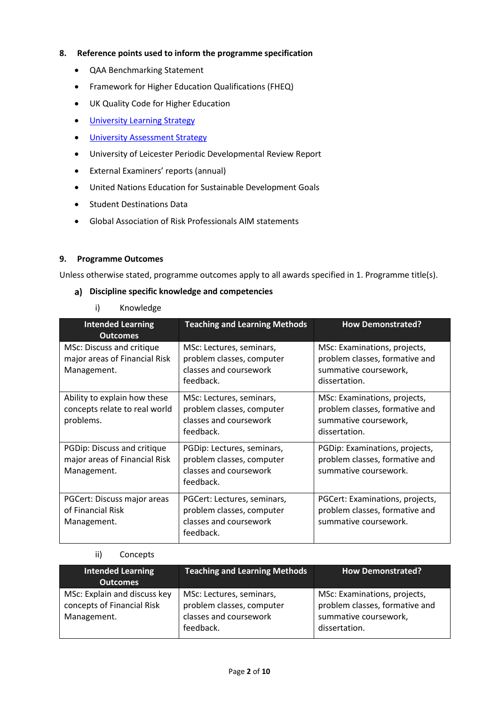### **8. Reference points used to inform the programme specification**

- QAA Benchmarking Statement
- Framework for Higher Education Qualifications (FHEQ)
- UK Quality Code for Higher Education
- **•** [University Learning](https://www2.le.ac.uk/offices/sas2/quality/learnteach) Strategy
- **•** [University Assessment Strategy](https://www2.le.ac.uk/offices/sas2/quality/learnteach)
- University of Leicester Periodic Developmental Review Report
- External Examiners' reports (annual)
- United Nations Education for Sustainable Development Goals
- **•** Student Destinations Data
- Global Association of Risk Professionals AIM statements

### **9. Programme Outcomes**

Unless otherwise stated, programme outcomes apply to all awards specified in [1.](#page-0-0) Programme title(s).

#### **Discipline specific knowledge and competencies**

### i) Knowledge

| <b>Intended Learning</b><br><b>Outcomes</b>                                 | <b>Teaching and Learning Methods</b>                                                            | <b>How Demonstrated?</b>                                                                                 |
|-----------------------------------------------------------------------------|-------------------------------------------------------------------------------------------------|----------------------------------------------------------------------------------------------------------|
| MSc: Discuss and critique<br>major areas of Financial Risk<br>Management.   | MSc: Lectures, seminars,<br>problem classes, computer<br>classes and coursework<br>feedback.    | MSc: Examinations, projects,<br>problem classes, formative and<br>summative coursework,<br>dissertation. |
| Ability to explain how these<br>concepts relate to real world<br>problems.  | MSc: Lectures, seminars,<br>problem classes, computer<br>classes and coursework<br>feedback.    | MSc: Examinations, projects,<br>problem classes, formative and<br>summative coursework,<br>dissertation. |
| PGDip: Discuss and critique<br>major areas of Financial Risk<br>Management. | PGDip: Lectures, seminars,<br>problem classes, computer<br>classes and coursework<br>feedback.  | PGDip: Examinations, projects,<br>problem classes, formative and<br>summative coursework.                |
| PGCert: Discuss major areas<br>of Financial Risk<br>Management.             | PGCert: Lectures, seminars,<br>problem classes, computer<br>classes and coursework<br>feedback. | PGCert: Examinations, projects,<br>problem classes, formative and<br>summative coursework.               |

### ii) Concepts

| <b>Intended Learning</b><br><b>Outcomes</b>                               | <b>Teaching and Learning Methods</b>                                                         | <b>How Demonstrated?</b>                                                                                 |
|---------------------------------------------------------------------------|----------------------------------------------------------------------------------------------|----------------------------------------------------------------------------------------------------------|
| MSc: Explain and discuss key<br>concepts of Financial Risk<br>Management. | MSc: Lectures, seminars,<br>problem classes, computer<br>classes and coursework<br>feedback. | MSc: Examinations, projects,<br>problem classes, formative and<br>summative coursework,<br>dissertation. |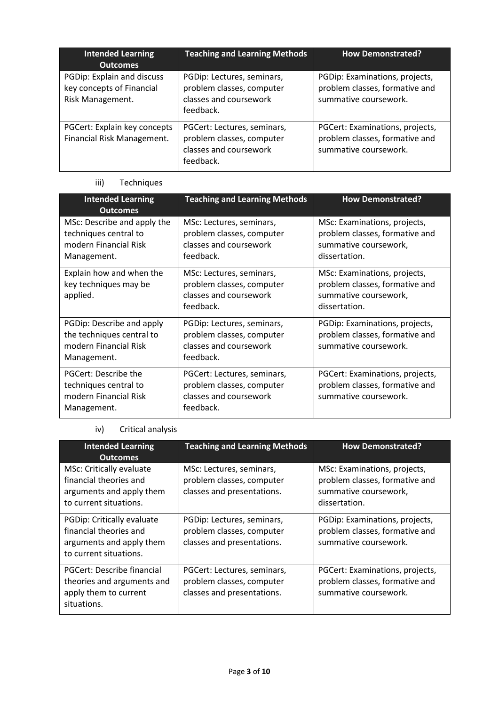| <b>Intended Learning</b><br><b>Outcomes</b>                                 | <b>Teaching and Learning Methods</b>                                                            | <b>How Demonstrated?</b>                                                                   |
|-----------------------------------------------------------------------------|-------------------------------------------------------------------------------------------------|--------------------------------------------------------------------------------------------|
| PGDip: Explain and discuss<br>key concepts of Financial<br>Risk Management. | PGDip: Lectures, seminars,<br>problem classes, computer<br>classes and coursework<br>feedback.  | PGDip: Examinations, projects,<br>problem classes, formative and<br>summative coursework.  |
| PGCert: Explain key concepts<br>Financial Risk Management.                  | PGCert: Lectures, seminars,<br>problem classes, computer<br>classes and coursework<br>feedback. | PGCert: Examinations, projects,<br>problem classes, formative and<br>summative coursework. |

# iii) Techniques

| <b>Intended Learning</b><br><b>Outcomes</b>                                                    | <b>Teaching and Learning Methods</b>                                                            | <b>How Demonstrated?</b>                                                                                 |
|------------------------------------------------------------------------------------------------|-------------------------------------------------------------------------------------------------|----------------------------------------------------------------------------------------------------------|
| MSc: Describe and apply the<br>techniques central to<br>modern Financial Risk<br>Management.   | MSc: Lectures, seminars,<br>problem classes, computer<br>classes and coursework<br>feedback.    | MSc: Examinations, projects,<br>problem classes, formative and<br>summative coursework,<br>dissertation. |
| Explain how and when the<br>key techniques may be<br>applied.                                  | MSc: Lectures, seminars,<br>problem classes, computer<br>classes and coursework<br>feedback.    | MSc: Examinations, projects,<br>problem classes, formative and<br>summative coursework,<br>dissertation. |
| PGDip: Describe and apply<br>the techniques central to<br>modern Financial Risk<br>Management. | PGDip: Lectures, seminars,<br>problem classes, computer<br>classes and coursework<br>feedback.  | PGDip: Examinations, projects,<br>problem classes, formative and<br>summative coursework.                |
| PGCert: Describe the<br>techniques central to<br>modern Financial Risk<br>Management.          | PGCert: Lectures, seminars,<br>problem classes, computer<br>classes and coursework<br>feedback. | PGCert: Examinations, projects,<br>problem classes, formative and<br>summative coursework.               |

# iv) Critical analysis

| <b>Intended Learning</b><br><b>Outcomes</b>                                                                     | <b>Teaching and Learning Methods</b>                                                   | <b>How Demonstrated?</b>                                                                                 |
|-----------------------------------------------------------------------------------------------------------------|----------------------------------------------------------------------------------------|----------------------------------------------------------------------------------------------------------|
| <b>MSc: Critically evaluate</b><br>financial theories and<br>arguments and apply them<br>to current situations. | MSc: Lectures, seminars,<br>problem classes, computer<br>classes and presentations.    | MSc: Examinations, projects,<br>problem classes, formative and<br>summative coursework,<br>dissertation. |
| PGDip: Critically evaluate<br>financial theories and<br>arguments and apply them<br>to current situations.      | PGDip: Lectures, seminars,<br>problem classes, computer<br>classes and presentations.  | PGDip: Examinations, projects,<br>problem classes, formative and<br>summative coursework.                |
| PGCert: Describe financial<br>theories and arguments and<br>apply them to current<br>situations.                | PGCert: Lectures, seminars,<br>problem classes, computer<br>classes and presentations. | PGCert: Examinations, projects,<br>problem classes, formative and<br>summative coursework.               |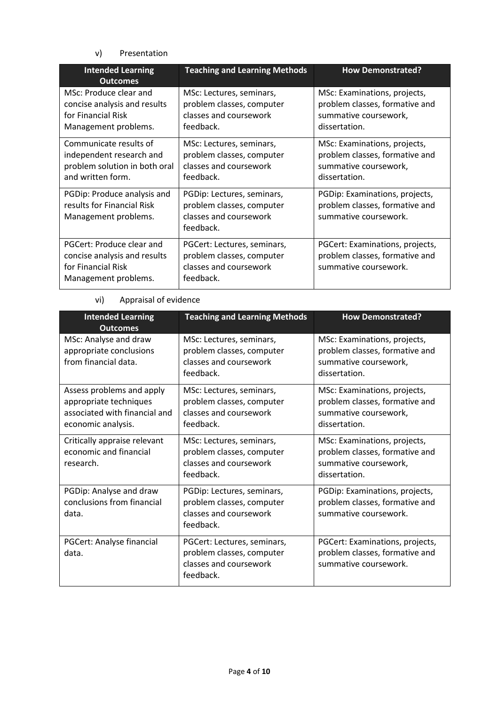### v) Presentation

| <b>Intended Learning</b><br><b>Outcomes</b>                                                              | <b>Teaching and Learning Methods</b>                                                            | <b>How Demonstrated?</b>                                                                                 |
|----------------------------------------------------------------------------------------------------------|-------------------------------------------------------------------------------------------------|----------------------------------------------------------------------------------------------------------|
| MSc: Produce clear and<br>concise analysis and results<br>for Financial Risk<br>Management problems.     | MSc: Lectures, seminars,<br>problem classes, computer<br>classes and coursework<br>feedback.    | MSc: Examinations, projects,<br>problem classes, formative and<br>summative coursework,<br>dissertation. |
| Communicate results of<br>independent research and<br>problem solution in both oral<br>and written form. | MSc: Lectures, seminars,<br>problem classes, computer<br>classes and coursework<br>feedback.    | MSc: Examinations, projects,<br>problem classes, formative and<br>summative coursework,<br>dissertation. |
| PGDip: Produce analysis and<br>results for Financial Risk<br>Management problems.                        | PGDip: Lectures, seminars,<br>problem classes, computer<br>classes and coursework<br>feedback.  | PGDip: Examinations, projects,<br>problem classes, formative and<br>summative coursework.                |
| PGCert: Produce clear and<br>concise analysis and results<br>for Financial Risk<br>Management problems.  | PGCert: Lectures, seminars,<br>problem classes, computer<br>classes and coursework<br>feedback. | PGCert: Examinations, projects,<br>problem classes, formative and<br>summative coursework.               |

# vi) Appraisal of evidence

| <b>Intended Learning</b><br><b>Outcomes</b>                                                                | <b>Teaching and Learning Methods</b>                                                            | <b>How Demonstrated?</b>                                                                                 |
|------------------------------------------------------------------------------------------------------------|-------------------------------------------------------------------------------------------------|----------------------------------------------------------------------------------------------------------|
| MSc: Analyse and draw<br>appropriate conclusions<br>from financial data.                                   | MSc: Lectures, seminars,<br>problem classes, computer<br>classes and coursework<br>feedback.    | MSc: Examinations, projects,<br>problem classes, formative and<br>summative coursework,<br>dissertation. |
| Assess problems and apply<br>appropriate techniques<br>associated with financial and<br>economic analysis. | MSc: Lectures, seminars,<br>problem classes, computer<br>classes and coursework<br>feedback.    | MSc: Examinations, projects,<br>problem classes, formative and<br>summative coursework,<br>dissertation. |
| Critically appraise relevant<br>economic and financial<br>research.                                        | MSc: Lectures, seminars,<br>problem classes, computer<br>classes and coursework<br>feedback.    | MSc: Examinations, projects,<br>problem classes, formative and<br>summative coursework,<br>dissertation. |
| PGDip: Analyse and draw<br>conclusions from financial<br>data.                                             | PGDip: Lectures, seminars,<br>problem classes, computer<br>classes and coursework<br>feedback.  | PGDip: Examinations, projects,<br>problem classes, formative and<br>summative coursework.                |
| PGCert: Analyse financial<br>data.                                                                         | PGCert: Lectures, seminars,<br>problem classes, computer<br>classes and coursework<br>feedback. | PGCert: Examinations, projects,<br>problem classes, formative and<br>summative coursework.               |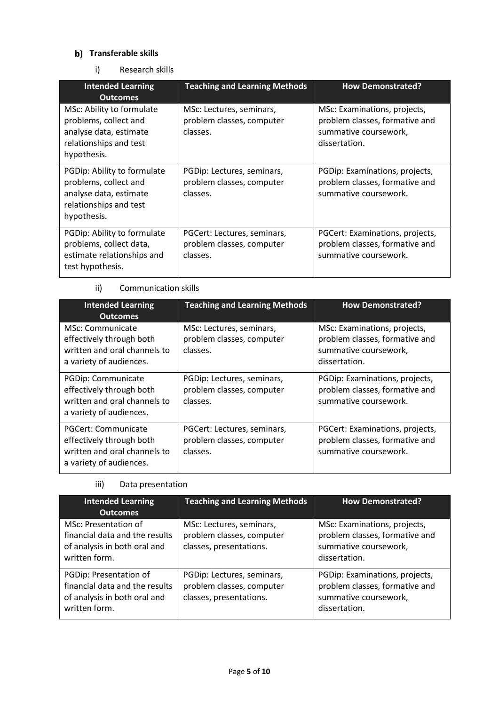# **b)** Transferable skills

i) Research skills

| <b>Intended Learning</b><br><b>Outcomes</b>                                                                             | <b>Teaching and Learning Methods</b>                                 | <b>How Demonstrated?</b>                                                                                 |
|-------------------------------------------------------------------------------------------------------------------------|----------------------------------------------------------------------|----------------------------------------------------------------------------------------------------------|
| MSc: Ability to formulate<br>problems, collect and<br>analyse data, estimate<br>relationships and test<br>hypothesis.   | MSc: Lectures, seminars,<br>problem classes, computer<br>classes.    | MSc: Examinations, projects,<br>problem classes, formative and<br>summative coursework,<br>dissertation. |
| PGDip: Ability to formulate<br>problems, collect and<br>analyse data, estimate<br>relationships and test<br>hypothesis. | PGDip: Lectures, seminars,<br>problem classes, computer<br>classes.  | PGDip: Examinations, projects,<br>problem classes, formative and<br>summative coursework.                |
| PGDip: Ability to formulate<br>problems, collect data,<br>estimate relationships and<br>test hypothesis.                | PGCert: Lectures, seminars,<br>problem classes, computer<br>classes. | PGCert: Examinations, projects,<br>problem classes, formative and<br>summative coursework.               |

### ii) Communication skills

| <b>Intended Learning</b><br><b>Outcomes</b>                                                                | <b>Teaching and Learning Methods</b>                                 | <b>How Demonstrated?</b>                                                                                 |
|------------------------------------------------------------------------------------------------------------|----------------------------------------------------------------------|----------------------------------------------------------------------------------------------------------|
| MSc: Communicate<br>effectively through both<br>written and oral channels to<br>a variety of audiences.    | MSc: Lectures, seminars,<br>problem classes, computer<br>classes.    | MSc: Examinations, projects,<br>problem classes, formative and<br>summative coursework,<br>dissertation. |
| PGDip: Communicate<br>effectively through both<br>written and oral channels to<br>a variety of audiences.  | PGDip: Lectures, seminars,<br>problem classes, computer<br>classes.  | PGDip: Examinations, projects,<br>problem classes, formative and<br>summative coursework.                |
| PGCert: Communicate<br>effectively through both<br>written and oral channels to<br>a variety of audiences. | PGCert: Lectures, seminars,<br>problem classes, computer<br>classes. | PGCert: Examinations, projects,<br>problem classes, formative and<br>summative coursework.               |

# iii) Data presentation

| <b>Intended Learning</b><br><b>Outcomes</b>                                                               | <b>Teaching and Learning Methods</b>                                               | <b>How Demonstrated?</b>                                                                                   |
|-----------------------------------------------------------------------------------------------------------|------------------------------------------------------------------------------------|------------------------------------------------------------------------------------------------------------|
| MSc: Presentation of<br>financial data and the results<br>of analysis in both oral and<br>written form.   | MSc: Lectures, seminars,<br>problem classes, computer<br>classes, presentations.   | MSc: Examinations, projects,<br>problem classes, formative and<br>summative coursework,<br>dissertation.   |
| PGDip: Presentation of<br>financial data and the results<br>of analysis in both oral and<br>written form. | PGDip: Lectures, seminars,<br>problem classes, computer<br>classes, presentations. | PGDip: Examinations, projects,<br>problem classes, formative and<br>summative coursework,<br>dissertation. |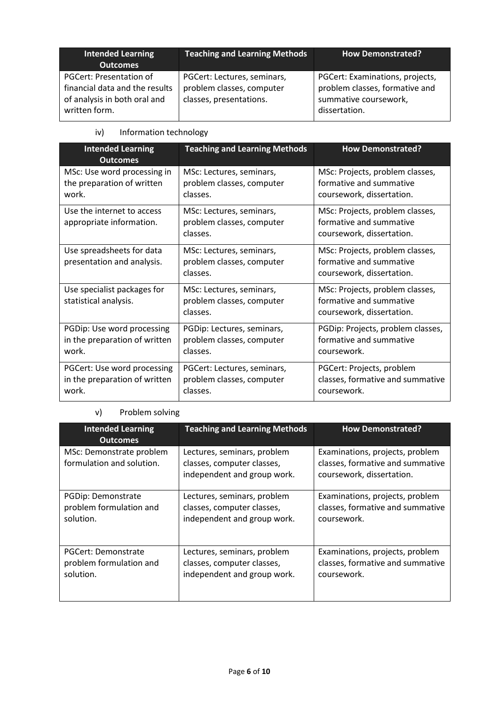| <b>Intended Learning</b><br><b>Outcomes</b>                                                                | <b>Teaching and Learning Methods</b>                                                | <b>How Demonstrated?</b>                                                                                    |
|------------------------------------------------------------------------------------------------------------|-------------------------------------------------------------------------------------|-------------------------------------------------------------------------------------------------------------|
| PGCert: Presentation of<br>financial data and the results<br>of analysis in both oral and<br>written form. | PGCert: Lectures, seminars,<br>problem classes, computer<br>classes, presentations. | PGCert: Examinations, projects,<br>problem classes, formative and<br>summative coursework,<br>dissertation. |

## iv) Information technology

| <b>Intended Learning</b><br><b>Outcomes</b>                           | <b>Teaching and Learning Methods</b>                                 | <b>How Demonstrated?</b>                                                                |
|-----------------------------------------------------------------------|----------------------------------------------------------------------|-----------------------------------------------------------------------------------------|
| MSc: Use word processing in<br>the preparation of written<br>work.    | MSc: Lectures, seminars,<br>problem classes, computer<br>classes.    | MSc: Projects, problem classes,<br>formative and summative<br>coursework, dissertation. |
| Use the internet to access<br>appropriate information.                | MSc: Lectures, seminars,<br>problem classes, computer<br>classes.    | MSc: Projects, problem classes,<br>formative and summative<br>coursework, dissertation. |
| Use spreadsheets for data<br>presentation and analysis.               | MSc: Lectures, seminars,<br>problem classes, computer<br>classes.    | MSc: Projects, problem classes,<br>formative and summative<br>coursework, dissertation. |
| Use specialist packages for<br>statistical analysis.                  | MSc: Lectures, seminars,<br>problem classes, computer<br>classes.    | MSc: Projects, problem classes,<br>formative and summative<br>coursework, dissertation. |
| PGDip: Use word processing<br>in the preparation of written<br>work.  | PGDip: Lectures, seminars,<br>problem classes, computer<br>classes.  | PGDip: Projects, problem classes,<br>formative and summative<br>coursework.             |
| PGCert: Use word processing<br>in the preparation of written<br>work. | PGCert: Lectures, seminars,<br>problem classes, computer<br>classes. | PGCert: Projects, problem<br>classes, formative and summative<br>coursework.            |

# v) Problem solving

| <b>Intended Learning</b><br><b>Outcomes</b>           | <b>Teaching and Learning Methods</b>                                                     | <b>How Demonstrated?</b>                                                                         |
|-------------------------------------------------------|------------------------------------------------------------------------------------------|--------------------------------------------------------------------------------------------------|
| MSc: Demonstrate problem<br>formulation and solution. | Lectures, seminars, problem<br>classes, computer classes,<br>independent and group work. | Examinations, projects, problem<br>classes, formative and summative<br>coursework, dissertation. |
| PGDip: Demonstrate                                    | Lectures, seminars, problem                                                              | Examinations, projects, problem                                                                  |
| problem formulation and                               | classes, computer classes,                                                               | classes, formative and summative                                                                 |
| solution.                                             | independent and group work.                                                              | coursework.                                                                                      |
| PGCert: Demonstrate                                   | Lectures, seminars, problem                                                              | Examinations, projects, problem                                                                  |
| problem formulation and                               | classes, computer classes,                                                               | classes, formative and summative                                                                 |
| solution.                                             | independent and group work.                                                              | coursework.                                                                                      |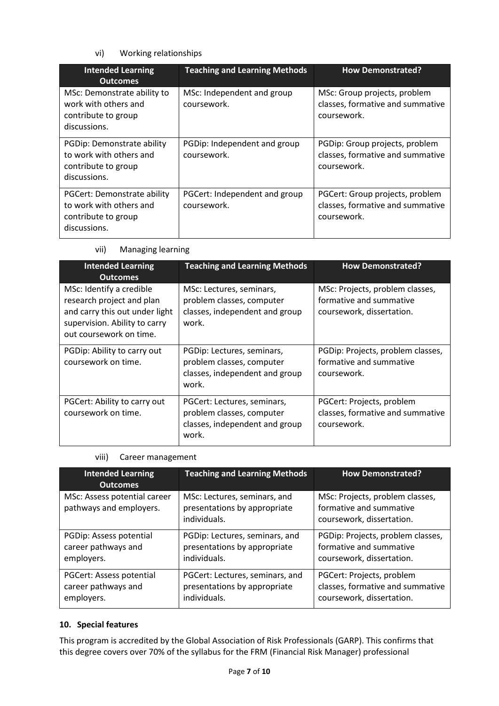## vi) Working relationships

| <b>Intended Learning</b><br><b>Outcomes</b>                                                   | <b>Teaching and Learning Methods</b>         | <b>How Demonstrated?</b>                                                           |
|-----------------------------------------------------------------------------------------------|----------------------------------------------|------------------------------------------------------------------------------------|
| MSc: Demonstrate ability to<br>work with others and<br>contribute to group<br>discussions.    | MSc: Independent and group<br>coursework.    | MSc: Group projects, problem<br>classes, formative and summative<br>coursework.    |
| PGDip: Demonstrate ability<br>to work with others and<br>contribute to group<br>discussions.  | PGDip: Independent and group<br>coursework.  | PGDip: Group projects, problem<br>classes, formative and summative<br>coursework.  |
| PGCert: Demonstrate ability<br>to work with others and<br>contribute to group<br>discussions. | PGCert: Independent and group<br>coursework. | PGCert: Group projects, problem<br>classes, formative and summative<br>coursework. |

### vii) Managing learning

| <b>Intended Learning</b><br><b>Outcomes</b>                                                                                                         | <b>Teaching and Learning Methods</b>                                                                | <b>How Demonstrated?</b>                                                                |
|-----------------------------------------------------------------------------------------------------------------------------------------------------|-----------------------------------------------------------------------------------------------------|-----------------------------------------------------------------------------------------|
| MSc: Identify a credible<br>research project and plan<br>and carry this out under light<br>supervision. Ability to carry<br>out coursework on time. | MSc: Lectures, seminars,<br>problem classes, computer<br>classes, independent and group<br>work.    | MSc: Projects, problem classes,<br>formative and summative<br>coursework, dissertation. |
| PGDip: Ability to carry out<br>coursework on time.                                                                                                  | PGDip: Lectures, seminars,<br>problem classes, computer<br>classes, independent and group<br>work.  | PGDip: Projects, problem classes,<br>formative and summative<br>coursework.             |
| PGCert: Ability to carry out<br>coursework on time.                                                                                                 | PGCert: Lectures, seminars,<br>problem classes, computer<br>classes, independent and group<br>work. | PGCert: Projects, problem<br>classes, formative and summative<br>coursework.            |

## viii) Career management

| <b>Intended Learning</b><br><b>Outcomes</b>             | <b>Teaching and Learning Methods</b>                                         | <b>How Demonstrated?</b>                                                                |
|---------------------------------------------------------|------------------------------------------------------------------------------|-----------------------------------------------------------------------------------------|
| MSc: Assess potential career<br>pathways and employers. | MSc: Lectures, seminars, and<br>presentations by appropriate<br>individuals. | MSc: Projects, problem classes,<br>formative and summative<br>coursework, dissertation. |
| PGDip: Assess potential                                 | PGDip: Lectures, seminars, and                                               | PGDip: Projects, problem classes,                                                       |
| career pathways and                                     | presentations by appropriate                                                 | formative and summative                                                                 |
| employers.                                              | individuals.                                                                 | coursework, dissertation.                                                               |
| <b>PGCert: Assess potential</b>                         | PGCert: Lectures, seminars, and                                              | PGCert: Projects, problem                                                               |
| career pathways and                                     | presentations by appropriate                                                 | classes, formative and summative                                                        |
| employers.                                              | individuals.                                                                 | coursework, dissertation.                                                               |

### **10. Special features**

This program is accredited by the Global Association of Risk Professionals (GARP). This confirms that this degree covers over 70% of the syllabus for the FRM (Financial Risk Manager) professional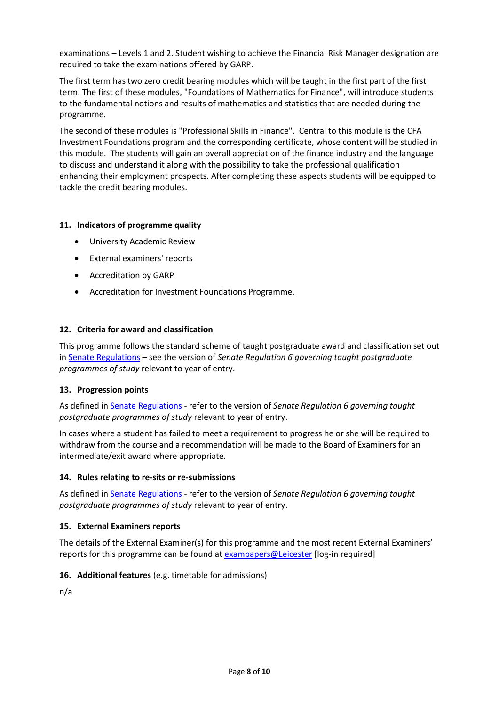examinations – Levels 1 and 2. Student wishing to achieve the Financial Risk Manager designation are required to take the examinations offered by GARP.

The first term has two zero credit bearing modules which will be taught in the first part of the first term. The first of these modules, "Foundations of Mathematics for Finance", will introduce students to the fundamental notions and results of mathematics and statistics that are needed during the programme.

The second of these modules is "Professional Skills in Finance". Central to this module is the CFA Investment Foundations program and the corresponding certificate, whose content will be studied in this module. The students will gain an overall appreciation of the finance industry and the language to discuss and understand it along with the possibility to take the professional qualification enhancing their employment prospects. After completing these aspects students will be equipped to tackle the credit bearing modules.

### **11. Indicators of programme quality**

- University Academic Review
- External examiners' reports
- Accreditation by GARP
- Accreditation for Investment Foundations Programme.

### **12. Criteria for award and classification**

This programme follows the standard scheme of taught postgraduate award and classification set out i[n Senate Regulations](http://www.le.ac.uk/senate-regulations) – see the version of *Senate Regulation 6 governing taught postgraduate programmes of study* relevant to year of entry.

### **13. Progression points**

As defined i[n Senate Regulations](http://www.le.ac.uk/senate-regulation6) - refer to the version of *Senate Regulation 6 governing taught postgraduate programmes of study* relevant to year of entry.

In cases where a student has failed to meet a requirement to progress he or she will be required to withdraw from the course and a recommendation will be made to the Board of Examiners for an intermediate/exit award where appropriate.

### **14. Rules relating to re-sits or re-submissions**

As defined i[n Senate Regulations](http://www.le.ac.uk/senate-regulation6) - refer to the version of *Senate Regulation 6 governing taught postgraduate programmes of study* relevant to year of entry.

### **15. External Examiners reports**

The details of the External Examiner(s) for this programme and the most recent External Examiners' reports for this programme can be found at [exampapers@Leicester](https://exampapers.le.ac.uk/) [log-in required]

### **16. Additional features** (e.g. timetable for admissions)

n/a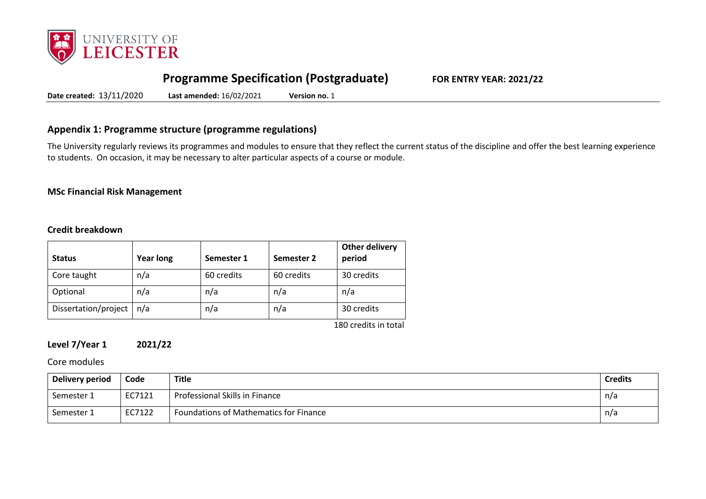

# **Programme Specification (Postgraduate) FOR ENTRY YEAR: 2021/22**

**Date created:** 13/11/2020 **Last amended:** 16/02/2021 **Version no.** 1

## **Appendix 1: Programme structure (programme regulations)**

The University regularly reviews its programmes and modules to ensure that they reflect the current status of the discipline and offer the best learning experience to students. On occasion, it may be necessary to alter particular aspects of a course or module.

### **MSc Financial Risk Management**

## **Credit breakdown**

| <b>Status</b>        | <b>Year long</b> | Semester 1 | Semester 2 | <b>Other delivery</b><br>period |
|----------------------|------------------|------------|------------|---------------------------------|
| Core taught          | n/a              | 60 credits | 60 credits | 30 credits                      |
| Optional             | n/a              | n/a        | n/a        | n/a                             |
| Dissertation/project | n/a              | n/a        | n/a        | 30 credits                      |
|                      |                  |            |            | 180 credits in total            |

**Level 7/Year 1 2021/22**

Core modules

| Delivery period | Code   | <b>Title</b>                           | <b>Credits</b> |
|-----------------|--------|----------------------------------------|----------------|
| Semester 1      | EC7121 | Professional Skills in Finance         | n/a            |
| Semester 1      | EC7122 | Foundations of Mathematics for Finance | n/a            |